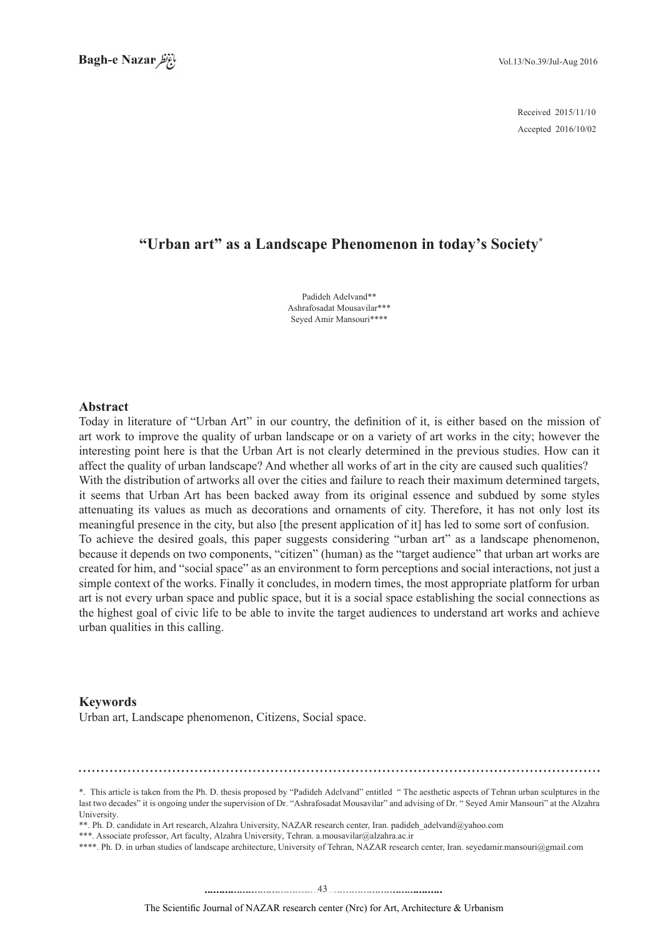2015/11/10 Received 2016/10/02 Accepted

# "Urban art" as a Landscape Phenomenon in today's Society<sup>\*</sup>

Padideh Adelvand\*\* Ashrafosadat Mousavilar \*\*\* Seyed Amir Mansouri\*\*\*\*

#### **Abstract**

Today in literature of "Urban Art" in our country, the definition of it, is either based on the mission of art work to improve the quality of urban landscape or on a variety of art works in the city; however the interesting point here is that the Urban Art is not clearly determined in the previous studies. How can it affect the quality of urban landscape? And whether all works of art in the city are caused such qualities? With the distribution of artworks all over the cities and failure to reach their maximum determined targets, it seems that Urban Art has been backed away from its original essence and subdued by some styles attenuating its values as much as decorations and ornaments of city. Therefore, it has not only lost its meaningful presence in the city, but also [the present application of it] has led to some sort of confusion. To achieve the desired goals, this paper suggests considering "urban art" as a landscape phenomenon, because it depends on two components, "citizen" (human) as the "target audience" that urban art works are created for him, and "social space" as an environment to form perceptions and social interactions, not just a simple context of the works. Finally it concludes, in modern times, the most appropriate platform for urban art is not every urban space and public space, but it is a social space establishing the social connections as the highest goal of civic life to be able to invite the target audiences to understand art works and achieve urban qualities in this calling.

#### **Keywords**

Urban art, Landscape phenomenon, Citizens, Social space.

<sup>\*.</sup> This article is taken from the Ph. D. thesis proposed by "Padideh Adelvand" entitled " The aesthetic aspects of Tehran urban sculptures in the last two decades" it is ongoing under the supervision of Dr. "Ashrafosadat Mousavilar" and advising of Dr. " Seyed Amir Mansouri" at the Alzahra .University

<sup>\*\*.</sup> Ph. D. candidate in Art research. Alzahra University, NAZAR research center. Iran, padideh adelyand@vahoo.com

<sup>\*\*\*.</sup> Associate professor, Art faculty, Alzahra University, Tehran. a.mousavilar@alzahra.ac.ir

<sup>\*\*\*\*.</sup> Ph. D. in urban studies of landscape architecture, University of Tehran, NAZAR research center, Iran. seyedamir mansouri@gmail.com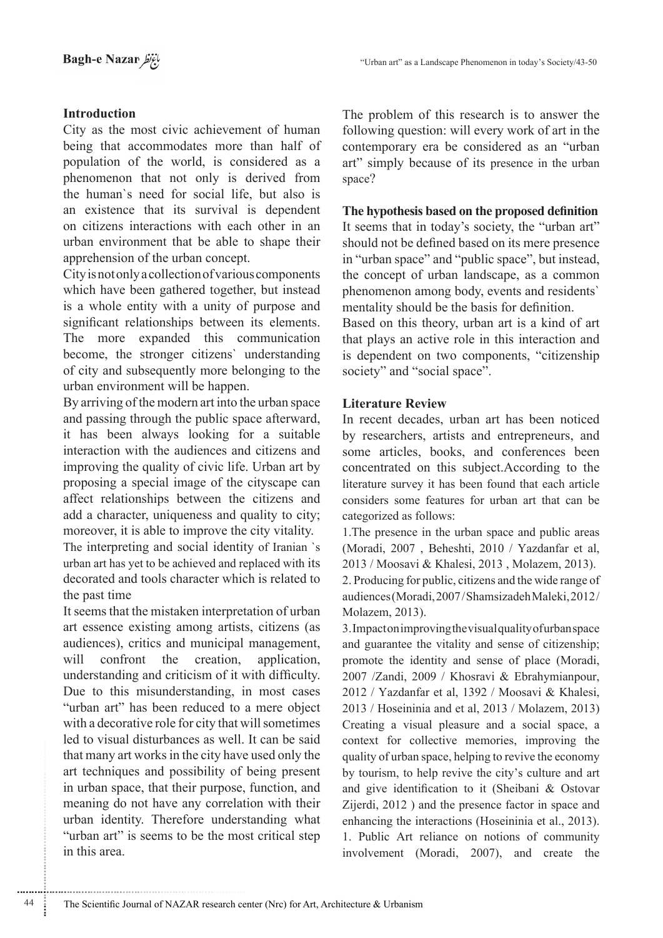## **Introduction**

City as the most civic achievement of human being that accommodates more than half of population of the world, is considered as a phenomenon that not only is derived from the human's need for social life, but also is an existence that its survival is dependent on citizens interactions with each other in an urban environment that be able to shape their apprehension of the urban concept.

City is not only a collection of various components which have been gathered together, but instead is a whole entity with a unity of purpose and significant relationships between its elements. The more expanded this communication become, the stronger citizens' understanding of city and subsequently more belonging to the urban environment will be happen.

By arriving of the modern art into the urban space and passing through the public space afterward, it has been always looking for a suitable interaction with the audiences and citizens and improving the quality of civic life. Urban art by proposing a special image of the cityscape can affect relationships between the citizens and add a character, uniqueness and quality to city; moreover, it is able to improve the city vitality.

The interpreting and social identity of Iranian `s urban art has yet to be achieved and replaced with its decorated and tools character which is related to the past time

It seems that the mistaken interpretation of urban art essence existing among artists, citizens (as audiences), critics and municipal management, will confront the creation, application, understanding and criticism of it with difficulty. Due to this misunderstanding, in most cases "urban art" has been reduced to a mere object with a decorative role for city that will sometimes led to visual disturbances as well. It can be said that many art works in the city have used only the art techniques and possibility of being present in urban space, that their purpose, function, and meaning do not have any correlation with their urban identity. Therefore understanding what "urban art" is seems to be the most critical step in this area

The problem of this research is to answer the following question: will every work of art in the contemporary era be considered as an "urban art" simply because of its presence in the urban space?

## The hypothesis based on the proposed definition

It seems that in today's society, the "urban art" should not be defined based on its mere presence in "urban space" and "public space", but instead, the concept of urban landscape, as a common phenomenon among body, events and residents' mentality should be the basis for definition.

Based on this theory, urban art is a kind of art that plays an active role in this interaction and is dependent on two components, "citizenship society" and "social space".

## **Literature Review**

In recent decades, urban art has been noticed by researchers, artists and entrepreneurs, and some articles, books, and conferences been concentrated on this subject. According to the literature survey it has been found that each article considers some features for urban art that can be categorized as follows:

1. The presence in the urban space and public areas (Moradi, 2007, Beheshti, 2010 / Yazdanfar et al, 2013 / Moosavi & Khalesi, 2013, Molazem, 2013). 2. Producing for public, citizens and the wide range of audiences (Moradi, 2007/Shamsizadeh Maleki, 2012/ Molazem, 2013).

3. Impacton improving the visual quality of urban space and guarantee the vitality and sense of citizenship; promote the identity and sense of place (Moradi, 2007 /Zandi, 2009 / Khosravi & Ebrahymianpour, 2012 / Yazdanfar et al, 1392 / Moosavi & Khalesi, 2013 / Hoseininia and et al, 2013 / Molazem, 2013) Creating a visual pleasure and a social space, a context for collective memories, improving the quality of urban space, helping to revive the economy by tourism, to help revive the city's culture and art and give identification to it (Sheibani & Ostovar Zijerdi, 2012) and the presence factor in space and enhancing the interactions (Hoseininia et al., 2013). 1. Public Art reliance on notions of community involvement (Moradi, 2007), and create the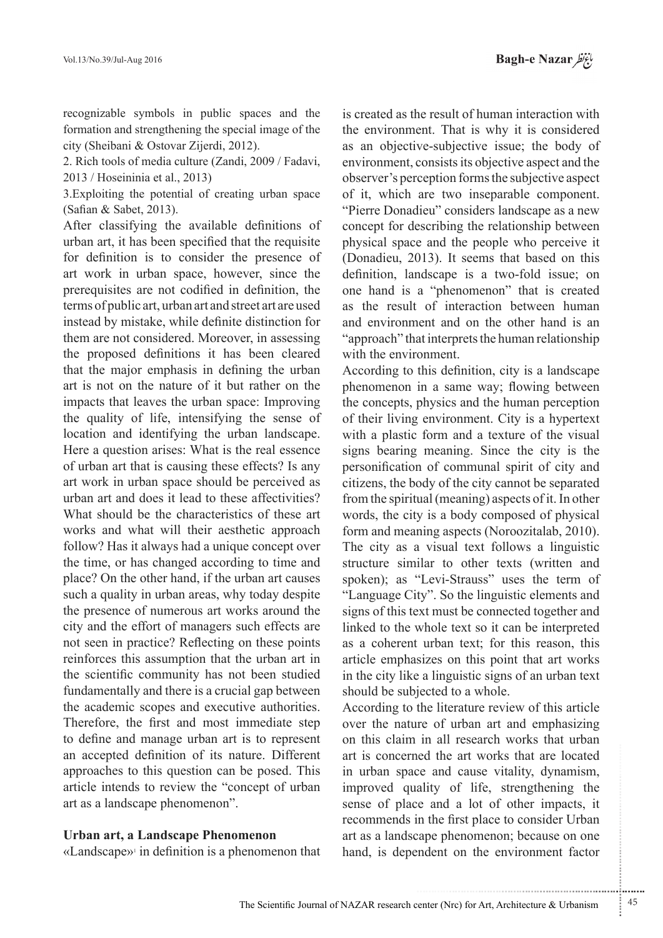recognizable symbols in public spaces and the formation and strengthening the special image of the city (Sheibani & Ostovar Zijerdi, 2012).

2. Rich tools of media culture (Zandi, 2009 / Fadavi,  $2013 /$  Hoseininia et al.,  $2013$ )

3. Exploiting the potential of creating urban space  $(Safian & Sabet, 2013)$ .

After classifying the available definitions of urban art, it has been specified that the requisite for definition is to consider the presence of art work in urban space, however, since the prerequisites are not codified in definition, the terms of public art, urban art and street art are used instead by mistake, while definite distinction for them are not considered. Moreover, in assessing the proposed definitions it has been cleared that the major emphasis in defining the urban art is not on the nature of it but rather on the impacts that leaves the urban space: Improving the quality of life, intensifying the sense of location and identifying the urban landscape. Here a question arises: What is the real essence of urban art that is causing these effects? Is any art work in urban space should be perceived as urban art and does it lead to these affectivities? What should be the characteristics of these art works and what will their aesthetic approach follow? Has it always had a unique concept over the time, or has changed according to time and place? On the other hand, if the urban art causes such a quality in urban areas, why today despite the presence of numerous art works around the city and the effort of managers such effects are not seen in practice? Reflecting on these points reinforces this assumption that the urban art in the scientific community has not been studied fundamentally and there is a crucial gap between the academic scopes and executive authorities. Therefore, the first and most immediate step to define and manage urban art is to represent an accepted definition of its nature. Different approaches to this question can be posed. This article intends to review the "concept of urban art as a landscape phenomenon".

#### **Urban art, a Landscape Phenomenon**

 $\kappa$ Landscape»<sup>1</sup> in definition is a phenomenon that

is created as the result of human interaction with the environment. That is why it is considered as an objective-subjective issue; the body of environment, consists its objective aspect and the observer's perception forms the subjective aspect of it, which are two inseparable component. "Pierre Donadieu" considers landscape as a new concept for describing the relationship between physical space and the people who perceive it (Donadieu, 2013). It seems that based on this definition, landscape is a two-fold issue; on one hand is a "phenomenon" that is created as the result of interaction between human and environment and on the other hand is an "approach" that interprets the human relationship with the environment.

According to this definition, city is a landscape phenomenon in a same way; flowing between the concepts, physics and the human perception of their living environment. City is a hypertext with a plastic form and a texture of the visual signs bearing meaning. Since the city is the personification of communal spirit of city and citizens, the body of the city cannot be separated from the spiritual (meaning) aspects of it. In other words, the city is a body composed of physical form and meaning aspects (Noroozitalab, 2010). The city as a visual text follows a linguistic structure similar to other texts (written and spoken); as "Levi-Strauss" uses the term of "Language City". So the linguistic elements and signs of this text must be connected together and linked to the whole text so it can be interpreted as a coherent urban text; for this reason, this article emphasizes on this point that art works in the city like a linguistic signs of an urban text should be subjected to a whole.

According to the literature review of this article over the nature of urban art and emphasizing on this claim in all research works that urban art is concerned the art works that are located in urban space and cause vitality, dynamism, improved quality of life, strengthening the sense of place and a lot of other impacts, it recommends in the first place to consider Urban art as a landscape phenomenon; because on one hand, is dependent on the environment factor

.......... ....... ........ ........... ...... ....... ........ .......... ...........

...........................................................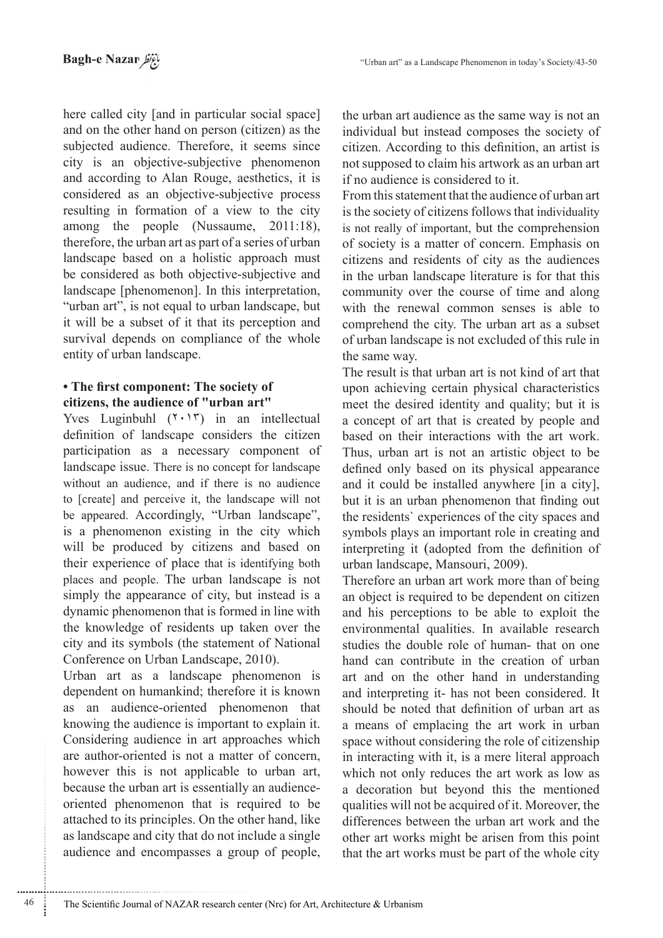here called city [and in particular social space] and on the other hand on person (citizen) as the subjected audience. Therefore, it seems since city is an objective-subjective phenomenon and according to Alan Rouge, aesthetics, it is considered as an objective-subjective process resulting in formation of a view to the city among the people (Nussaume,  $2011:18$ ), therefore, the urban art as part of a series of urban landscape based on a holistic approach must be considered as both objective-subjective and landscape [phenomenon]. In this interpretation, "urban art", is not equal to urban landscape, but it will be a subset of it that its perception and survival depends on compliance of the whole entity of urban landscape.

## **• The first component: The society of** citizens, the audience of "urban art"

Yves Luginbuhl  $(1 \cdot 1)$  in an intellectual definition of landscape considers the citizen participation as a necessary component of landscape issue. There is no concept for landscape without an audience, and if there is no audience to [create] and perceive it, the landscape will not be appeared. Accordingly, "Urban landscape", is a phenomenon existing in the city which will be produced by citizens and based on their experience of place that is identifying both places and people. The urban landscape is not simply the appearance of city, but instead is a dynamic phenomenon that is formed in line with the knowledge of residents up taken over the city and its symbols (the statement of National Conference on Urban Landscape, 2010).

Urban art as a landscape phenomenon is dependent on humankind; therefore it is known as an audience-oriented phenomenon that knowing the audience is important to explain it. Considering audience in art approaches which are author-oriented is not a matter of concern, however this is not applicable to urban art, be oriented phenomenon that is required to be because the urban art is essentially an audienceattached to its principles. On the other hand, like as landscape and city that do not include a single audience and encompasses a group of people,

............................................................

the urban art audience as the same way is not an individual but instead composes the society of citizen. According to this definition, an artist is not supposed to claim his artwork as an urban art if no audience is considered to it

From this statement that the audience of urban art is the society of citizens follows that individuality is not really of important, but the comprehension of society is a matter of concern. Emphasis on citizens and residents of city as the audiences in the urban landscape literature is for that this community over the course of time and along with the renewal common senses is able to comprehend the city. The urban art as a subset of urban landscape is not excluded of this rule in the same way.

The result is that urban art is not kind of art that upon achieving certain physical characteristics meet the desired identity and quality; but it is a concept of art that is created by people and based on their interactions with the art work. Thus, urban art is not an artistic object to be defined only based on its physical appearance and it could be installed anywhere [in a city], but it is an urban phenomenon that finding out the residents' experiences of the city spaces and symbols plays an important role in creating and interpreting it (adopted from the definition of urban landscape, Mansouri, 2009).

Therefore an urban art work more than of being an object is required to be dependent on citizen and his perceptions to be able to exploit the environmental qualities. In available research studies the double role of human-that on one hand can contribute in the creation of urban art and on the other hand in understanding and interpreting it- has not been considered. It should be noted that definition of urban art as a means of emplacing the art work in urban space without considering the role of citizenship in interacting with it, is a mere literal approach which not only reduces the art work as low as a decoration but beyond this the mentioned qualities will not be acquired of it. Moreover, the differences between the urban art work and the other art works might be arisen from this point that the art works must be part of the whole city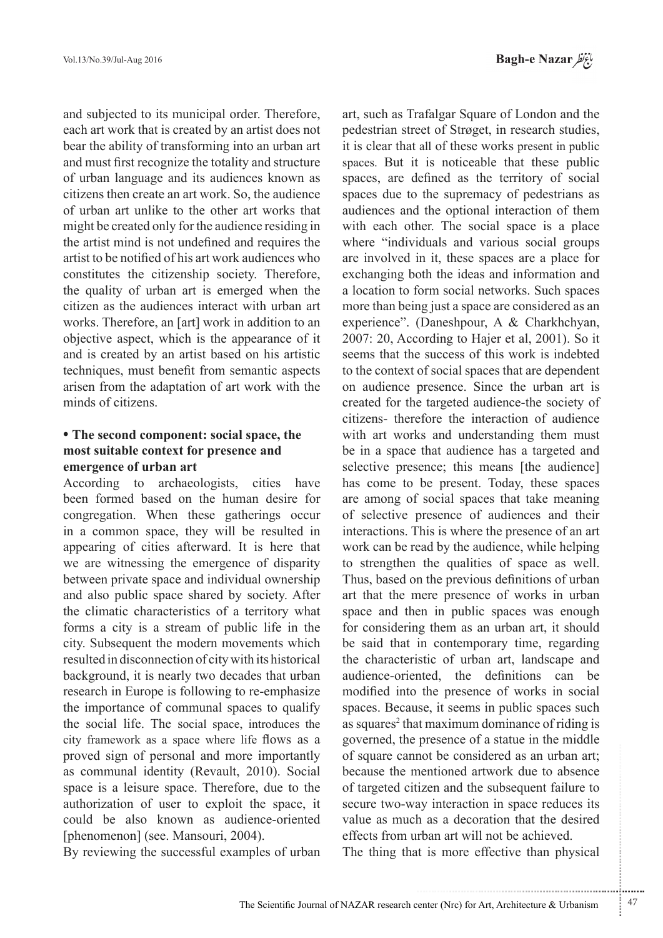Bagh-e Nazar

and subjected to its municipal order. Therefore, each art work that is created by an artist does not bear the ability of transforming into an urban art and must first recognize the totality and structure of urban language and its audiences known as citizens then create an art work. So, the audience of urban art unlike to the other art works that might be created only for the audience residing in the artist mind is not undefined and requires the artist to be notified of his art work audiences who constitutes the citizenship society. Therefore, the quality of urban art is emerged when the citizen as the audiences interact with urban art works. Therefore, an [art] work in addition to an objective aspect, which is the appearance of it and is created by an artist based on his artistic techniques, must benefit from semantic aspects arisen from the adaptation of art work with the minds of citizens

## • The second component: social space, the most suitable context for presence and **emergence** of urban art

According to archaeologists, cities have been formed based on the human desire for congregation. When these gatherings occur in a common space, they will be resulted in appearing of cities afterward. It is here that we are witnessing the emergence of disparity between private space and individual ownership and also public space shared by society. After the climatic characteristics of a territory what forms a city is a stream of public life in the city. Subsequent the modern movements which resulted in disconnection of city with its historical background, it is nearly two decades that urban research in Europe is following to re-emphasize the importance of communal spaces to qualify the social life. The social space, introduces the city framework as a space where life flows as a proved sign of personal and more importantly as communal identity (Revault, 2010). Social space is a leisure space. Therefore, due to the authorization of user to exploit the space, it could be also known as audience-oriented [phenomenon] (see, Mansouri, 2004).

By reviewing the successful examples of urban

art, such as Trafalgar Square of London and the pedestrian street of Strøget, in research studies, it is clear that all of these works present in public spaces. But it is noticeable that these public spaces, are defined as the territory of social spaces due to the supremacy of pedestrians as audiences and the optional interaction of them with each other. The social space is a place where "individuals and various social groups are involved in it, these spaces are a place for exchanging both the ideas and information and a location to form social networks. Such spaces more than being just a space are considered as an experience". (Daneshpour, A & Charkhchyan,  $2007$ :  $20$ , According to Hajer et al,  $2001$ ). So it seems that the success of this work is indebted to the context of social spaces that are dependent on audience presence. Since the urban art is created for the targeted audience-the society of citizens- therefore the interaction of audience with art works and understanding them must be in a space that audience has a targeted and selective presence; this means [the audience] has come to be present. Today, these spaces are among of social spaces that take meaning of selective presence of audiences and their interactions. This is where the presence of an art work can be read by the audience, while helping to strengthen the qualities of space as well. Thus, based on the previous definitions of urban art that the mere presence of works in urban space and then in public spaces was enough for considering them as an urban art, it should be said that in contemporary time, regarding the characteristic of urban art, landscape and audience-oriented, the definitions can be modified into the presence of works in social spaces. Because, it seems in public spaces such as squares<sup>2</sup> that maximum dominance of riding is governed, the presence of a statue in the middle of square cannot be considered as an urban art; because the mentioned artwork due to absence of targeted citizen and the subsequent failure to secure two-way interaction in space reduces its value as much as a decoration that the desired effects from urban art will not be achieved.

The thing that is more effective than physical

.......... ....... ........ ........... ...... ....... ........ .......... ...........

...........................................................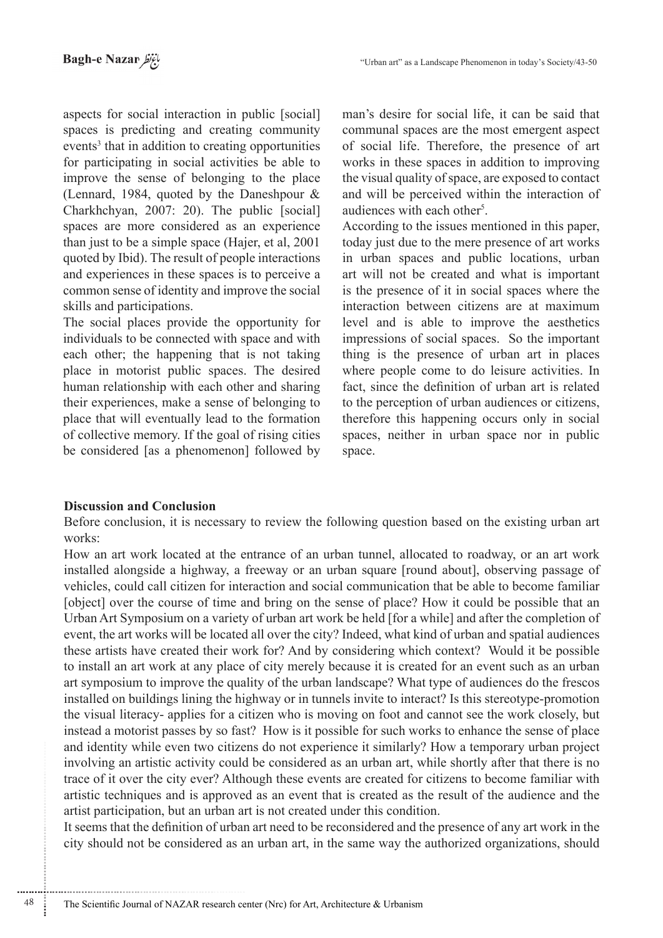aspects for social interaction in public [social] spaces is predicting and creating community events<sup>3</sup> that in addition to creating opportunities for participating in social activities be able to improve the sense of belonging to the place (Lennard, 1984, quoted by the Daneshpour  $\&$ Charkhchyan, 2007: 20). The public [social] spaces are more considered as an experience than just to be a simple space (Hajer, et al, 2001) quoted by Ibid). The result of people interactions and experiences in these spaces is to perceive a common sense of identity and improve the social skills and participations.

The social places provide the opportunity for individuals to be connected with space and with each other; the happening that is not taking place in motorist public spaces. The desired human relationship with each other and sharing their experiences, make a sense of belonging to place that will eventually lead to the formation of collective memory. If the goal of rising cities be considered [as a phenomenon] followed by man's desire for social life, it can be said that communal spaces are the most emergent aspect of social life. Therefore, the presence of art works in these spaces in addition to improving the visual quality of space, are exposed to contact and will be perceived within the interaction of audiences with each other<sup>5</sup>.

According to the issues mentioned in this paper. today just due to the mere presence of art works in urban spaces and public locations, urban art will not be created and what is important is the presence of it in social spaces where the interaction between citizens are at maximum level and is able to improve the aesthetics impressions of social spaces. So the important thing is the presence of urban art in places where people come to do leisure activities. In fact, since the definition of urban art is related to the perception of urban audiences or citizens, therefore this happening occurs only in social spaces, neither in urban space nor in public space.

## **Discussion and Conclusion**

48

Before conclusion, it is necessary to review the following question based on the existing urban art works:

How an art work located at the entrance of an urban tunnel, allocated to roadway, or an art work installed alongside a highway, a freeway or an urban square [round about], observing passage of vehicles, could call citizen for interaction and social communication that be able to become familiar [object] over the course of time and bring on the sense of place? How it could be possible that an Urban Art Symposium on a variety of urban art work be held [for a while] and after the completion of event, the art works will be located all over the city? Indeed, what kind of urban and spatial audiences these artists have created their work for? And by considering which context? Would it be possible to install an art work at any place of city merely because it is created for an event such as an urban art symposium to improve the quality of the urban landscape? What type of audiences do the frescos installed on buildings lining the highway or in tunnels invite to interact? Is this stereotype-promotion the visual literacy- applies for a citizen who is moving on foot and cannot see the work closely, but instead a motorist passes by so fast? How is it possible for such works to enhance the sense of place and identity while even two citizens do not experience it similarly? How a temporary urban project involving an artistic activity could be considered as an urban art, while shortly after that there is no trace of it over the city ever? Although these events are created for citizens to become familiar with artistic techniques and is approved as an event that is created as the result of the audience and the artist participation, but an urban art is not created under this condition.

It seems that the definition of urban art need to be reconsidered and the presence of any art work in the city should not be considered as an urban art, in the same way the authorized organizations, should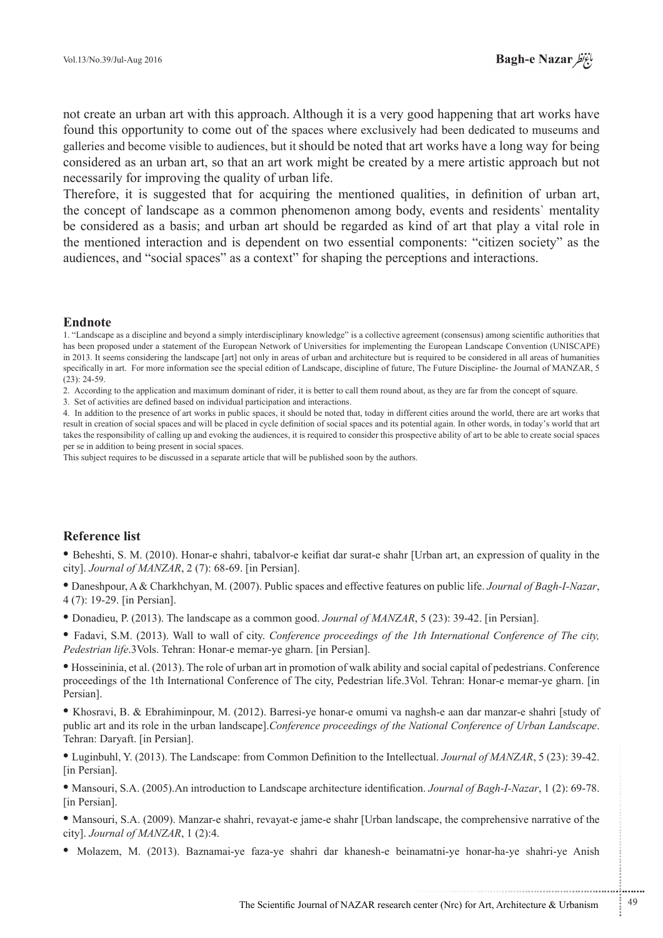have not create an urban art with this approach. Although it is a very good happening that art works have found this opportunity to come out of the spaces where exclusively had been dedicated to museums and galleries and become visible to audiences, but it should be noted that art works have a long way for being considered as an urban art, so that an art work might be created by a mere artistic approach but not necessarily for improving the quality of urban life.

Therefore, it is suggested that for acquiring the mentioned qualities, in definition of urban art, the concept of landscape as a common phenomenon among body, events and residents' mentality be considered as a basis; and urban art should be regarded as kind of art that play a vital role in the mentioned interaction and is dependent on two essential components: "citizen society" as the audiences, and "social spaces" as a context" for shaping the perceptions and interactions.

## **Endnote**

1. "Landscape as a discipline and beyond a simply interdisciplinary knowledge" is a collective agreement (consensus) among scientific authorities that has been proposed under a statement of the European Network of Universities for implementing the European Landscape Convention (UNISCAPE) in 2013. It seems considering the landscape [art] not only in areas of urban and architecture but is required to be considered in all areas of humanities specifically in art. For more information see the special edition of Landscape, discipline of future, The Future Discipline- the Journal of MANZAR, 5  $(23): 24-59.$ 

2. According to the application and maximum dominant of rider, it is better to call them round about, as they are far from the concept of square.

3. Set of activities are defined based on individual participation and interactions.

4. In addition to the presence of art works in public spaces, it should be noted that, today in different cities around the world, there are art works that result in creation of social spaces and will be placed in cycle definition of social spaces and its potential again. In other words, in today's world that art takes the responsibility of calling up and evoking the audiences, it is required to consider this prospective ability of art to be able to create social spaces per se in addition to being present in social spaces.

This subject requires to be discussed in a separate article that will be published soon by the authors.

## **Reference** list

• Beheshti, S. M. (2010). Honar-e-shahri, tabalvor-e-keifiat dar surat-e-shahr [Urban art, an expression of quality in the city]. *Journal of MANZAR*, 2 (7): 68-69. [in Persian].

• Daneshpour, A & Charkhchyan, M. (2007). Public spaces and effective features on public life. *Journal of Bagh-I-Nazar*,  $4(7)$ : 19-29. [in Persian].

• Donadieu, P. (2013). The landscape as a common good. *Journal of MANZAR*, 5 (23): 39-42. [in Persian].

• Fadavi, S.M. (2013). Wall to wall of city. Conference proceedings of the 1th International Conference of The city, Pedestrian life.3Vols. Tehran: Honar-e memar-ye gharn. [in Persian].

 $\bullet$  Hosseininia, et al. (2013). The role of urban art in promotion of walk ability and social capital of pedestrians. Conference proceedings of the 1th International Conference of The city, Pedestrian life 3Vol. Tehran: Honar-e memar-ye gharn. [in Persian<sub>1</sub>.

• Khosravi, B. & Ebrahiminpour, M. (2012). Barresi-ye honar-e omumi va naghsh-e aan dar manzar-e shahri [study of public art and its role in the urban landscape].*Conference proceedings of the National Conference of Urban Landscape.* Tehran: Daryaft. [in Persian].

• Luginbuhl, Y. (2013). The Landscape: from Common Definition to the Intellectual. *Journal of MANZAR*, 5 (23): 39-42. [in Persian].

• Mansouri, S.A. (2005). An introduction to Landscape architecture identification. *Journal of Bagh-I-Nazar*, 1 (2): 69-78. [in Persian].

• Mansouri, S.A. (2009). Manzar-e shahri, revayat-e jame-e shahr [Urban landscape, the comprehensive narrative of the city]. *Journal of MANZAR*, 1 (2):4.

• Molazem, M. (2013). Baznamai-ye-faza-ye-shahri dar khanesh-e-beinamatni-ye-honar-ha-ye-shahri-ye-Anish

...........................................................

.......... ....... ........ ........... ...... ....... ........ .......... ...........